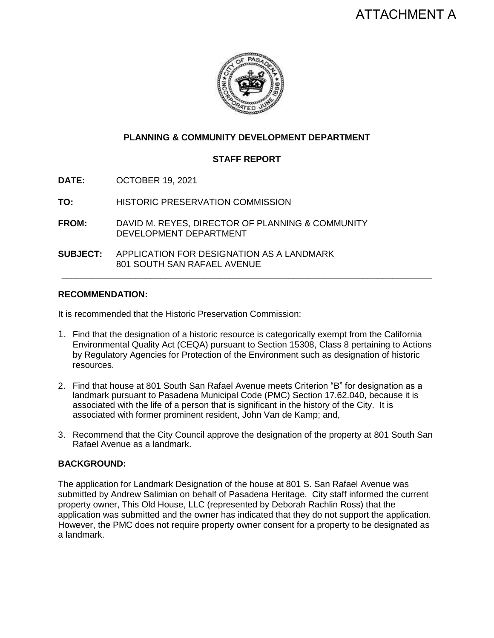

# **PLANNING & COMMUNITY DEVELOPMENT DEPARTMENT**

# **STAFF REPORT**

**DATE:** OCTOBER 19, 2021

**TO:** HISTORIC PRESERVATION COMMISSION

**FROM:** DAVID M. REYES, DIRECTOR OF PLANNING & COMMUNITY DEVELOPMENT DEPARTMENT

**SUBJECT:** APPLICATION FOR DESIGNATION AS A LANDMARK 801 SOUTH SAN RAFAEL AVENUE

### **RECOMMENDATION:**

It is recommended that the Historic Preservation Commission:

1. Find that the designation of a historic resource is categorically exempt from the California Environmental Quality Act (CEQA) pursuant to Section 15308, Class 8 pertaining to Actions by Regulatory Agencies for Protection of the Environment such as designation of historic resources.

**\_\_\_\_\_\_\_\_\_\_\_\_\_\_\_\_\_\_\_\_\_\_\_\_\_\_\_\_\_\_\_\_\_\_\_\_\_\_\_\_\_\_\_\_\_\_\_\_\_\_\_\_\_\_\_\_\_\_\_\_\_\_\_\_\_\_\_\_\_\_\_\_\_\_\_**

- 2. Find that house at 801 South San Rafael Avenue meets Criterion "B" for designation as a landmark pursuant to Pasadena Municipal Code (PMC) Section 17.62.040, because it is associated with the life of a person that is significant in the history of the City. It is associated with former prominent resident, John Van de Kamp; and,
- 3. Recommend that the City Council approve the designation of the property at 801 South San Rafael Avenue as a landmark.

#### **BACKGROUND:**

The application for Landmark Designation of the house at 801 S. San Rafael Avenue was submitted by Andrew Salimian on behalf of Pasadena Heritage. City staff informed the current property owner, This Old House, LLC (represented by Deborah Rachlin Ross) that the application was submitted and the owner has indicated that they do not support the application. However, the PMC does not require property owner consent for a property to be designated as a landmark.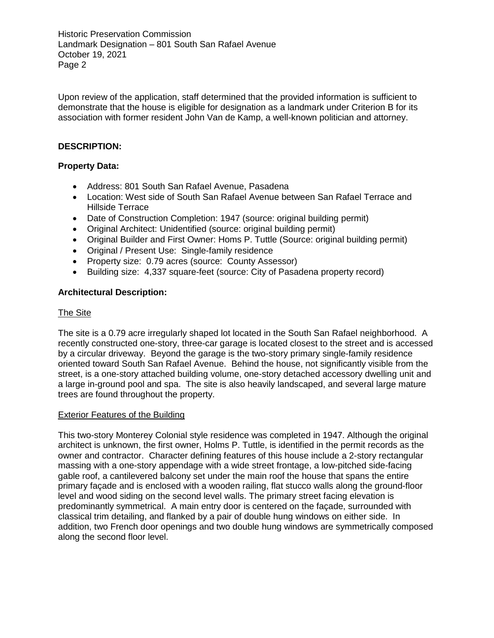Upon review of the application, staff determined that the provided information is sufficient to demonstrate that the house is eligible for designation as a landmark under Criterion B for its association with former resident John Van de Kamp, a well-known politician and attorney.

# **DESCRIPTION:**

# **Property Data:**

- Address: 801 South San Rafael Avenue, Pasadena
- Location: West side of South San Rafael Avenue between San Rafael Terrace and Hillside Terrace
- Date of Construction Completion: 1947 (source: original building permit)
- Original Architect: Unidentified (source: original building permit)
- Original Builder and First Owner: Homs P. Tuttle (Source: original building permit)
- Original / Present Use: Single-family residence
- Property size: 0.79 acres (source: County Assessor)
- Building size: 4,337 square-feet (source: City of Pasadena property record)

## **Architectural Description:**

## The Site

The site is a 0.79 acre irregularly shaped lot located in the South San Rafael neighborhood. A recently constructed one-story, three-car garage is located closest to the street and is accessed by a circular driveway. Beyond the garage is the two-story primary single-family residence oriented toward South San Rafael Avenue. Behind the house, not significantly visible from the street, is a one-story attached building volume, one-story detached accessory dwelling unit and a large in-ground pool and spa. The site is also heavily landscaped, and several large mature trees are found throughout the property.

## Exterior Features of the Building

This two-story Monterey Colonial style residence was completed in 1947. Although the original architect is unknown, the first owner, Holms P. Tuttle, is identified in the permit records as the owner and contractor. Character defining features of this house include a 2-story rectangular massing with a one-story appendage with a wide street frontage, a low-pitched side-facing gable roof, a cantilevered balcony set under the main roof the house that spans the entire primary façade and is enclosed with a wooden railing, flat stucco walls along the ground-floor level and wood siding on the second level walls. The primary street facing elevation is predominantly symmetrical. A main entry door is centered on the façade, surrounded with classical trim detailing, and flanked by a pair of double hung windows on either side. In addition, two French door openings and two double hung windows are symmetrically composed along the second floor level.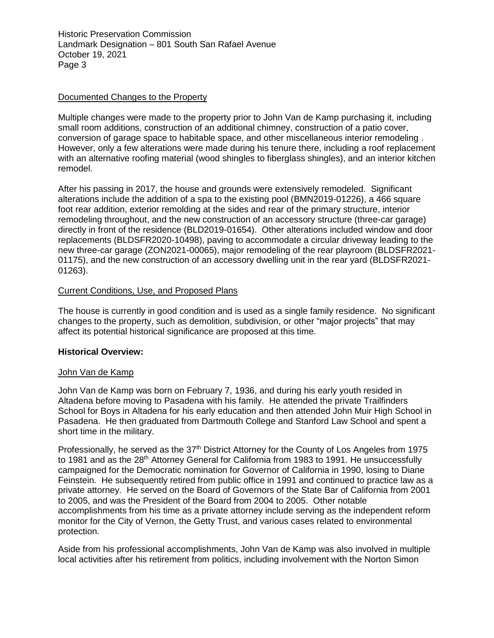## Documented Changes to the Property

Multiple changes were made to the property prior to John Van de Kamp purchasing it, including small room additions, construction of an additional chimney, construction of a patio cover, conversion of garage space to habitable space, and other miscellaneous interior remodeling . However, only a few alterations were made during his tenure there, including a roof replacement with an alternative roofing material (wood shingles to fiberglass shingles), and an interior kitchen remodel.

After his passing in 2017, the house and grounds were extensively remodeled. Significant alterations include the addition of a spa to the existing pool (BMN2019-01226), a 466 square foot rear addition, exterior remolding at the sides and rear of the primary structure, interior remodeling throughout, and the new construction of an accessory structure (three-car garage) directly in front of the residence (BLD2019-01654). Other alterations included window and door replacements (BLDSFR2020-10498), paving to accommodate a circular driveway leading to the new three-car garage (ZON2021-00065), major remodeling of the rear playroom (BLDSFR2021- 01175), and the new construction of an accessory dwelling unit in the rear yard (BLDSFR2021- 01263).

### Current Conditions, Use, and Proposed Plans

The house is currently in good condition and is used as a single family residence. No significant changes to the property, such as demolition, subdivision, or other "major projects" that may affect its potential historical significance are proposed at this time.

#### **Historical Overview:**

#### John Van de Kamp

John Van de Kamp was born on February 7, 1936, and during his early youth resided in Altadena before moving to Pasadena with his family. He attended the private Trailfinders School for Boys in Altadena for his early education and then attended John Muir High School in Pasadena. He then graduated from Dartmouth College and Stanford Law School and spent a short time in the military.

Professionally, he served as the  $37<sup>th</sup>$  District Attorney for the County of Los Angeles from 1975 to 1981 and as the  $28<sup>th</sup>$  Attorney General for California from 1983 to 1991. He unsuccessfully campaigned for the Democratic nomination for Governor of California in 1990, losing to Diane Feinstein. He subsequently retired from public office in 1991 and continued to practice law as a private attorney. He served on the Board of Governors of the State Bar of California from 2001 to 2005, and was the President of the Board from 2004 to 2005. Other notable accomplishments from his time as a private attorney include serving as the independent reform monitor for the City of Vernon, the Getty Trust, and various cases related to environmental protection.

Aside from his professional accomplishments, John Van de Kamp was also involved in multiple local activities after his retirement from politics, including involvement with the Norton Simon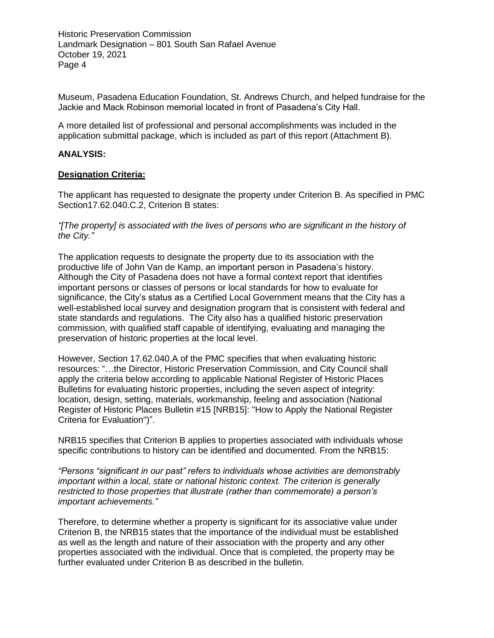Museum, Pasadena Education Foundation, St. Andrews Church, and helped fundraise for the Jackie and Mack Robinson memorial located in front of Pasadena's City Hall.

A more detailed list of professional and personal accomplishments was included in the application submittal package, which is included as part of this report (Attachment B).

#### **ANALYSIS:**

### **Designation Criteria:**

The applicant has requested to designate the property under Criterion B. As specified in PMC Section17.62.040.C.2, Criterion B states:

*"[The property] is associated with the lives of persons who are significant in the history of the City."*

The application requests to designate the property due to its association with the productive life of John Van de Kamp, an important person in Pasadena's history. Although the City of Pasadena does not have a formal context report that identifies important persons or classes of persons or local standards for how to evaluate for significance, the City's status as a Certified Local Government means that the City has a well-established local survey and designation program that is consistent with federal and state standards and regulations. The City also has a qualified historic preservation commission, with qualified staff capable of identifying, evaluating and managing the preservation of historic properties at the local level.

However, Section 17.62.040.A of the PMC specifies that when evaluating historic resources: "…the Director, Historic Preservation Commission, and City Council shall apply the criteria below according to applicable National Register of Historic Places Bulletins for evaluating historic properties, including the seven aspect of integrity: location, design, setting, materials, workmanship, feeling and association (National Register of Historic Places Bulletin #15 [NRB15]: "How to Apply the National Register Criteria for Evaluation")".

NRB15 specifies that Criterion B applies to properties associated with individuals whose specific contributions to history can be identified and documented. From the NRB15:

*"Persons "significant in our past" refers to individuals whose activities are demonstrably important within a local, state or national historic context. The criterion is generally restricted to those properties that illustrate (rather than commemorate) a person's important achievements."*

Therefore, to determine whether a property is significant for its associative value under Criterion B, the NRB15 states that the importance of the individual must be established as well as the length and nature of their association with the property and any other properties associated with the individual. Once that is completed, the property may be further evaluated under Criterion B as described in the bulletin.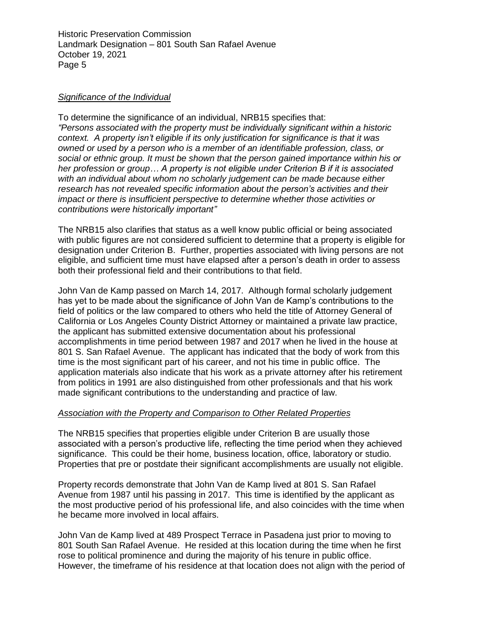#### *Significance of the Individual*

To determine the significance of an individual, NRB15 specifies that: *"Persons associated with the property must be individually significant within a historic context. A property isn't eligible if its only justification for significance is that it was owned or used by a person who is a member of an identifiable profession, class, or social or ethnic group. It must be shown that the person gained importance within his or her profession or group… A property is not eligible under Criterion B if it is associated with an individual about whom no scholarly judgement can be made because either research has not revealed specific information about the person's activities and their impact or there is insufficient perspective to determine whether those activities or contributions were historically important"*

The NRB15 also clarifies that status as a well know public official or being associated with public figures are not considered sufficient to determine that a property is eligible for designation under Criterion B. Further, properties associated with living persons are not eligible, and sufficient time must have elapsed after a person's death in order to assess both their professional field and their contributions to that field.

John Van de Kamp passed on March 14, 2017. Although formal scholarly judgement has yet to be made about the significance of John Van de Kamp's contributions to the field of politics or the law compared to others who held the title of Attorney General of California or Los Angeles County District Attorney or maintained a private law practice, the applicant has submitted extensive documentation about his professional accomplishments in time period between 1987 and 2017 when he lived in the house at 801 S. San Rafael Avenue. The applicant has indicated that the body of work from this time is the most significant part of his career, and not his time in public office. The application materials also indicate that his work as a private attorney after his retirement from politics in 1991 are also distinguished from other professionals and that his work made significant contributions to the understanding and practice of law.

#### *Association with the Property and Comparison to Other Related Properties*

The NRB15 specifies that properties eligible under Criterion B are usually those associated with a person's productive life, reflecting the time period when they achieved significance. This could be their home, business location, office, laboratory or studio. Properties that pre or postdate their significant accomplishments are usually not eligible.

Property records demonstrate that John Van de Kamp lived at 801 S. San Rafael Avenue from 1987 until his passing in 2017. This time is identified by the applicant as the most productive period of his professional life, and also coincides with the time when he became more involved in local affairs.

John Van de Kamp lived at 489 Prospect Terrace in Pasadena just prior to moving to 801 South San Rafael Avenue. He resided at this location during the time when he first rose to political prominence and during the majority of his tenure in public office. However, the timeframe of his residence at that location does not align with the period of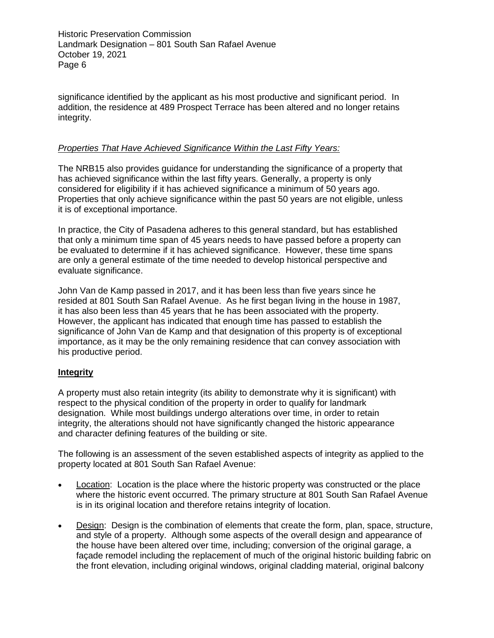significance identified by the applicant as his most productive and significant period. In addition, the residence at 489 Prospect Terrace has been altered and no longer retains integrity.

### *Properties That Have Achieved Significance Within the Last Fifty Years:*

The NRB15 also provides guidance for understanding the significance of a property that has achieved significance within the last fifty years. Generally, a property is only considered for eligibility if it has achieved significance a minimum of 50 years ago. Properties that only achieve significance within the past 50 years are not eligible, unless it is of exceptional importance.

In practice, the City of Pasadena adheres to this general standard, but has established that only a minimum time span of 45 years needs to have passed before a property can be evaluated to determine if it has achieved significance. However, these time spans are only a general estimate of the time needed to develop historical perspective and evaluate significance.

John Van de Kamp passed in 2017, and it has been less than five years since he resided at 801 South San Rafael Avenue. As he first began living in the house in 1987, it has also been less than 45 years that he has been associated with the property. However, the applicant has indicated that enough time has passed to establish the significance of John Van de Kamp and that designation of this property is of exceptional importance, as it may be the only remaining residence that can convey association with his productive period.

## **Integrity**

A property must also retain integrity (its ability to demonstrate why it is significant) with respect to the physical condition of the property in order to qualify for landmark designation. While most buildings undergo alterations over time, in order to retain integrity, the alterations should not have significantly changed the historic appearance and character defining features of the building or site.

The following is an assessment of the seven established aspects of integrity as applied to the property located at 801 South San Rafael Avenue:

- Location: Location is the place where the historic property was constructed or the place where the historic event occurred. The primary structure at 801 South San Rafael Avenue is in its original location and therefore retains integrity of location.
- Design: Design is the combination of elements that create the form, plan, space, structure, and style of a property. Although some aspects of the overall design and appearance of the house have been altered over time, including; conversion of the original garage, a façade remodel including the replacement of much of the original historic building fabric on the front elevation, including original windows, original cladding material, original balcony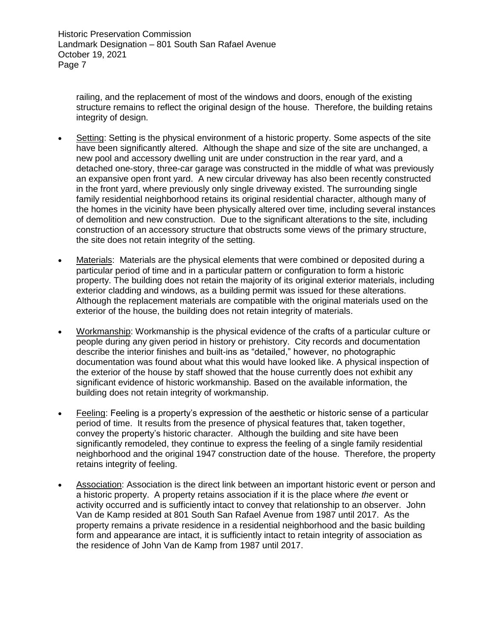railing, and the replacement of most of the windows and doors, enough of the existing structure remains to reflect the original design of the house. Therefore, the building retains integrity of design.

- Setting: Setting is the physical environment of a historic property. Some aspects of the site have been significantly altered. Although the shape and size of the site are unchanged, a new pool and accessory dwelling unit are under construction in the rear yard, and a detached one-story, three-car garage was constructed in the middle of what was previously an expansive open front yard. A new circular driveway has also been recently constructed in the front yard, where previously only single driveway existed. The surrounding single family residential neighborhood retains its original residential character, although many of the homes in the vicinity have been physically altered over time, including several instances of demolition and new construction. Due to the significant alterations to the site, including construction of an accessory structure that obstructs some views of the primary structure, the site does not retain integrity of the setting.
- Materials: Materials are the physical elements that were combined or deposited during a particular period of time and in a particular pattern or configuration to form a historic property. The building does not retain the majority of its original exterior materials, including exterior cladding and windows, as a building permit was issued for these alterations. Although the replacement materials are compatible with the original materials used on the exterior of the house, the building does not retain integrity of materials.
- Workmanship: Workmanship is the physical evidence of the crafts of a particular culture or people during any given period in history or prehistory. City records and documentation describe the interior finishes and built-ins as "detailed," however, no photographic documentation was found about what this would have looked like. A physical inspection of the exterior of the house by staff showed that the house currently does not exhibit any significant evidence of historic workmanship. Based on the available information, the building does not retain integrity of workmanship.
- Feeling: Feeling is a property's expression of the aesthetic or historic sense of a particular period of time. It results from the presence of physical features that, taken together, convey the property's historic character. Although the building and site have been significantly remodeled, they continue to express the feeling of a single family residential neighborhood and the original 1947 construction date of the house. Therefore, the property retains integrity of feeling.
- Association: Association is the direct link between an important historic event or person and a historic property. A property retains association if it is the place where *the* event or activity occurred and is sufficiently intact to convey that relationship to an observer. John Van de Kamp resided at 801 South San Rafael Avenue from 1987 until 2017. As the property remains a private residence in a residential neighborhood and the basic building form and appearance are intact, it is sufficiently intact to retain integrity of association as the residence of John Van de Kamp from 1987 until 2017.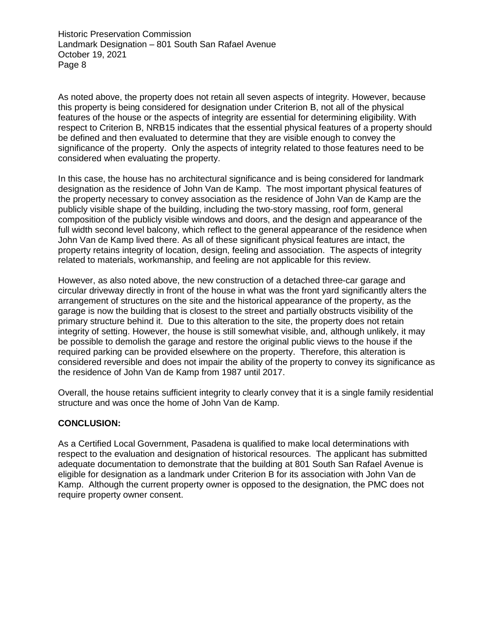As noted above, the property does not retain all seven aspects of integrity. However, because this property is being considered for designation under Criterion B, not all of the physical features of the house or the aspects of integrity are essential for determining eligibility. With respect to Criterion B, NRB15 indicates that the essential physical features of a property should be defined and then evaluated to determine that they are visible enough to convey the significance of the property. Only the aspects of integrity related to those features need to be considered when evaluating the property.

In this case, the house has no architectural significance and is being considered for landmark designation as the residence of John Van de Kamp. The most important physical features of the property necessary to convey association as the residence of John Van de Kamp are the publicly visible shape of the building, including the two-story massing, roof form, general composition of the publicly visible windows and doors, and the design and appearance of the full width second level balcony, which reflect to the general appearance of the residence when John Van de Kamp lived there. As all of these significant physical features are intact, the property retains integrity of location, design, feeling and association. The aspects of integrity related to materials, workmanship, and feeling are not applicable for this review.

However, as also noted above, the new construction of a detached three-car garage and circular driveway directly in front of the house in what was the front yard significantly alters the arrangement of structures on the site and the historical appearance of the property, as the garage is now the building that is closest to the street and partially obstructs visibility of the primary structure behind it. Due to this alteration to the site, the property does not retain integrity of setting. However, the house is still somewhat visible, and, although unlikely, it may be possible to demolish the garage and restore the original public views to the house if the required parking can be provided elsewhere on the property. Therefore, this alteration is considered reversible and does not impair the ability of the property to convey its significance as the residence of John Van de Kamp from 1987 until 2017.

Overall, the house retains sufficient integrity to clearly convey that it is a single family residential structure and was once the home of John Van de Kamp.

## **CONCLUSION:**

As a Certified Local Government, Pasadena is qualified to make local determinations with respect to the evaluation and designation of historical resources. The applicant has submitted adequate documentation to demonstrate that the building at 801 South San Rafael Avenue is eligible for designation as a landmark under Criterion B for its association with John Van de Kamp. Although the current property owner is opposed to the designation, the PMC does not require property owner consent.